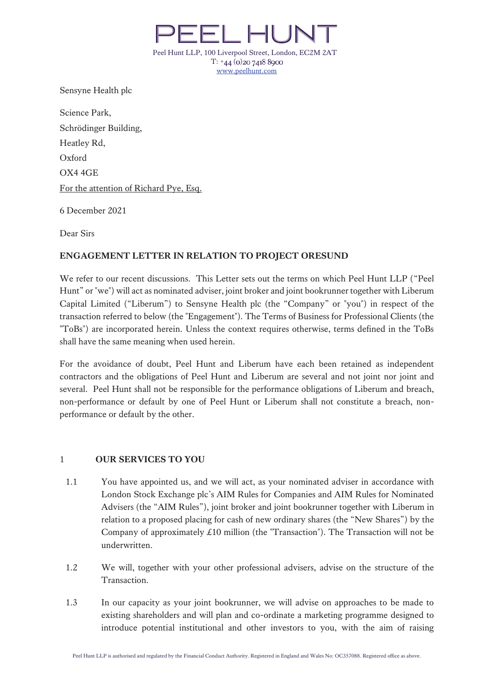

Sensyne Health plc

Science Park, Schrödinger Building, Heatley Rd, Oxford OX4 4GE For the attention of Richard Pye, Esq.

6 December 2021

Dear Sirs

# **ENGAGEMENT LETTER IN RELATION TO PROJECT ORESUND**

We refer to our recent discussions. This Letter sets out the terms on which Peel Hunt LLP ("Peel Hunt" or "we") will act as nominated adviser, joint broker and joint bookrunner together with Liberum Capital Limited ("Liberum") to Sensyne Health plc (the "Company" or "you") in respect of the transaction referred to below (the "Engagement"). The Terms of Business for Professional Clients (the "ToBs") are incorporated herein. Unless the context requires otherwise, terms defined in the ToBs shall have the same meaning when used herein.

For the avoidance of doubt, Peel Hunt and Liberum have each been retained as independent contractors and the obligations of Peel Hunt and Liberum are several and not joint nor joint and several. Peel Hunt shall not be responsible for the performance obligations of Liberum and breach, non-performance or default by one of Peel Hunt or Liberum shall not constitute a breach, nonperformance or default by the other.

## 1 **OUR SERVICES TO YOU**

- 1.1 You have appointed us, and we will act, as your nominated adviser in accordance with London Stock Exchange plc's AIM Rules for Companies and AIM Rules for Nominated Advisers (the "AIM Rules"), joint broker and joint bookrunner together with Liberum in relation to a proposed placing for cash of new ordinary shares (the "New Shares") by the Company of approximately  $\pounds 10$  million (the "Transaction"). The Transaction will not be underwritten.
- 1.2 We will, together with your other professional advisers, advise on the structure of the Transaction.
- 1.3 In our capacity as your joint bookrunner, we will advise on approaches to be made to existing shareholders and will plan and co-ordinate a marketing programme designed to introduce potential institutional and other investors to you, with the aim of raising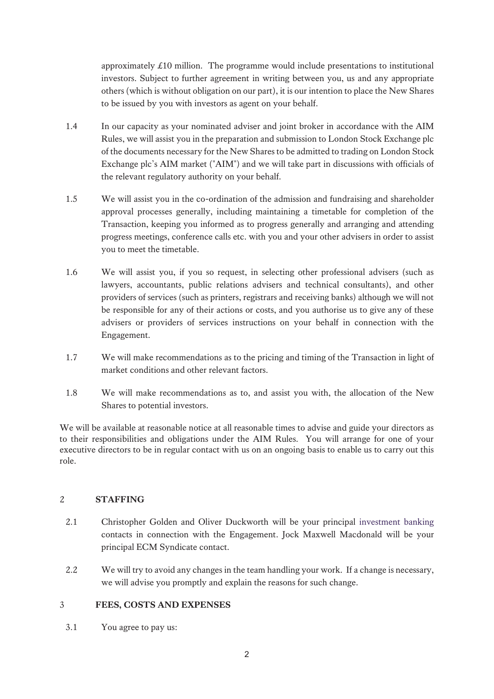approximately £10 million. The programme would include presentations to institutional investors. Subject to further agreement in writing between you, us and any appropriate others (which is without obligation on our part), it is our intention to place the New Shares to be issued by you with investors as agent on your behalf.

- 1.4 In our capacity as your nominated adviser and joint broker in accordance with the AIM Rules, we will assist you in the preparation and submission to London Stock Exchange plc of the documents necessary for the New Shares to be admitted to trading on London Stock Exchange plc's AIM market ("AIM") and we will take part in discussions with officials of the relevant regulatory authority on your behalf.
- 1.5 We will assist you in the co-ordination of the admission and fundraising and shareholder approval processes generally, including maintaining a timetable for completion of the Transaction, keeping you informed as to progress generally and arranging and attending progress meetings, conference calls etc. with you and your other advisers in order to assist you to meet the timetable.
- 1.6 We will assist you, if you so request, in selecting other professional advisers (such as lawyers, accountants, public relations advisers and technical consultants), and other providers of services (such as printers, registrars and receiving banks) although we will not be responsible for any of their actions or costs, and you authorise us to give any of these advisers or providers of services instructions on your behalf in connection with the Engagement.
- 1.7 We will make recommendations as to the pricing and timing of the Transaction in light of market conditions and other relevant factors.
- 1.8 We will make recommendations as to, and assist you with, the allocation of the New Shares to potential investors.

We will be available at reasonable notice at all reasonable times to advise and guide your directors as to their responsibilities and obligations under the AIM Rules. You will arrange for one of your executive directors to be in regular contact with us on an ongoing basis to enable us to carry out this role.

## 2 **STAFFING**

- 2.1 Christopher Golden and Oliver Duckworth will be your principal investment banking contacts in connection with the Engagement. Jock Maxwell Macdonald will be your principal ECM Syndicate contact.
- 2.2 We will try to avoid any changes in the team handling your work. If a change is necessary, we will advise you promptly and explain the reasons for such change.

## 3 **FEES, COSTS AND EXPENSES**

3.1 You agree to pay us: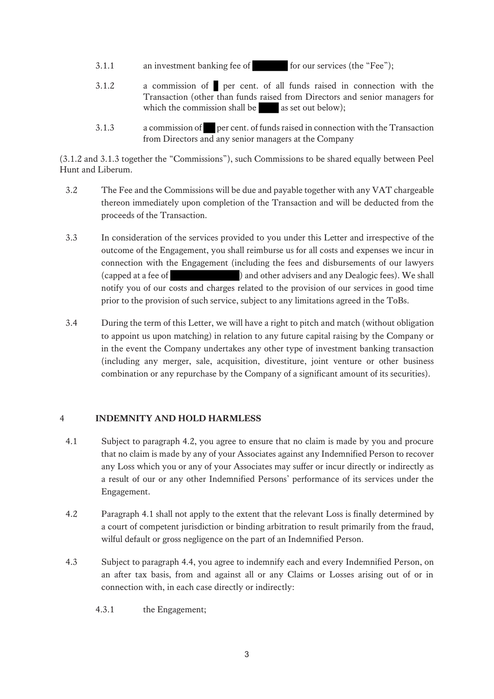- 3.1.1 an investment banking fee of for our services (the "Fee");
- 3.1.2 a commission of per cent. of all funds raised in connection with the Transaction (other than funds raised from Directors and senior managers for which the commission shall be  $\qquad$  as set out below);
- 3.1.3 a commission of per cent. of funds raised in connection with the Transaction from Directors and any senior managers at the Company

(3.1.2 and 3.1.3 together the "Commissions"), such Commissions to be shared equally between Peel Hunt and Liberum.

- 3.2 The Fee and the Commissions will be due and payable together with any VAT chargeable thereon immediately upon completion of the Transaction and will be deducted from the proceeds of the Transaction.
- 3.3 In consideration of the services provided to you under this Letter and irrespective of the outcome of the Engagement, you shall reimburse us for all costs and expenses we incur in connection with the Engagement (including the fees and disbursements of our lawyers (capped at a fee of ) and other advisers and any Dealogic fees). We shall notify you of our costs and charges related to the provision of our services in good time prior to the provision of such service, subject to any limitations agreed in the ToBs.
- 3.4 During the term of this Letter, we will have a right to pitch and match (without obligation to appoint us upon matching) in relation to any future capital raising by the Company or in the event the Company undertakes any other type of investment banking transaction (including any merger, sale, acquisition, divestiture, joint venture or other business combination or any repurchase by the Company of a significant amount of its securities).

## 4 **INDEMNITY AND HOLD HARMLESS**

- 4.1 Subject to paragraph 4.2, you agree to ensure that no claim is made by you and procure that no claim is made by any of your Associates against any Indemnified Person to recover any Loss which you or any of your Associates may suffer or incur directly or indirectly as a result of our or any other Indemnified Persons' performance of its services under the Engagement.
- 4.2 Paragraph 4.1 shall not apply to the extent that the relevant Loss is finally determined by a court of competent jurisdiction or binding arbitration to result primarily from the fraud, wilful default or gross negligence on the part of an Indemnified Person.
- 4.3 Subject to paragraph 4.4, you agree to indemnify each and every Indemnified Person, on an after tax basis, from and against all or any Claims or Losses arising out of or in connection with, in each case directly or indirectly:
	- 4.3.1 the Engagement;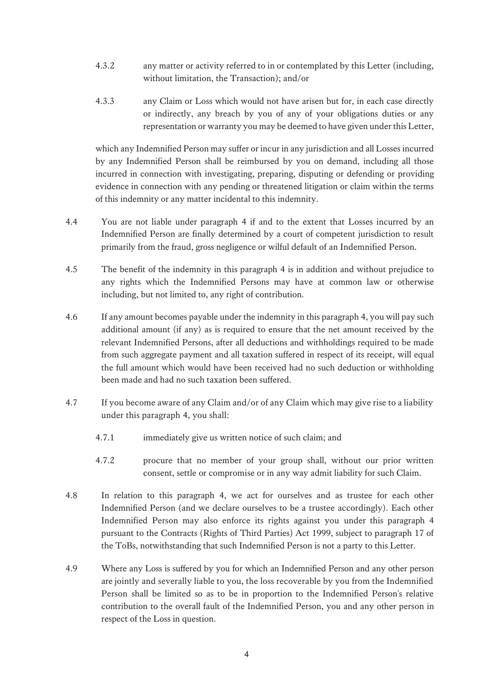- 4.3.2 any matter or activity referred to in or contemplated by this Letter (including, without limitation, the Transaction); and/or
- 4.3.3 any Claim or Loss which would not have arisen but for, in each case directly or indirectly, any breach by you of any of your obligations duties or any representation or warranty you may be deemed to have given under this Letter,

which any Indemnified Person may suffer or incur in any jurisdiction and all Losses incurred by any Indemnified Person shall be reimbursed by you on demand, including all those incurred in connection with investigating, preparing, disputing or defending or providing evidence in connection with any pending or threatened litigation or claim within the terms of this indemnity or any matter incidental to this indemnity.

- 4.4 You are not liable under paragraph 4 if and to the extent that Losses incurred by an Indemnified Person are finally determined by a court of competent jurisdiction to result primarily from the fraud, gross negligence or wilful default of an Indemnified Person.
- 4.5 The benefit of the indemnity in this paragraph 4 is in addition and without prejudice to any rights which the Indemnified Persons may have at common law or otherwise including, but not limited to, any right of contribution.
- 4.6 If any amount becomes payable under the indemnity in this paragraph 4, you will pay such additional amount (if any) as is required to ensure that the net amount received by the relevant Indemnified Persons, after all deductions and withholdings required to be made from such aggregate payment and all taxation suffered in respect of its receipt, will equal the full amount which would have been received had no such deduction or withholding been made and had no such taxation been suffered.
- 4.7 If you become aware of any Claim and/or of any Claim which may give rise to a liability under this paragraph 4, you shall:
	- 4.7.1 immediately give us written notice of such claim; and
	- 4.7.2 procure that no member of your group shall, without our prior written consent, settle or compromise or in any way admit liability for such Claim.
- 4.8 In relation to this paragraph 4, we act for ourselves and as trustee for each other Indemnified Person (and we declare ourselves to be a trustee accordingly). Each other Indemnified Person may also enforce its rights against you under this paragraph 4 pursuant to the Contracts (Rights of Third Parties) Act 1999, subject to paragraph 17 of the ToBs, notwithstanding that such Indemnified Person is not a party to this Letter.
- 4.9 Where any Loss is suffered by you for which an Indemnified Person and any other person are jointly and severally liable to you, the loss recoverable by you from the Indemnified Person shall be limited so as to be in proportion to the Indemnified Person's relative contribution to the overall fault of the Indemnified Person, you and any other person in respect of the Loss in question.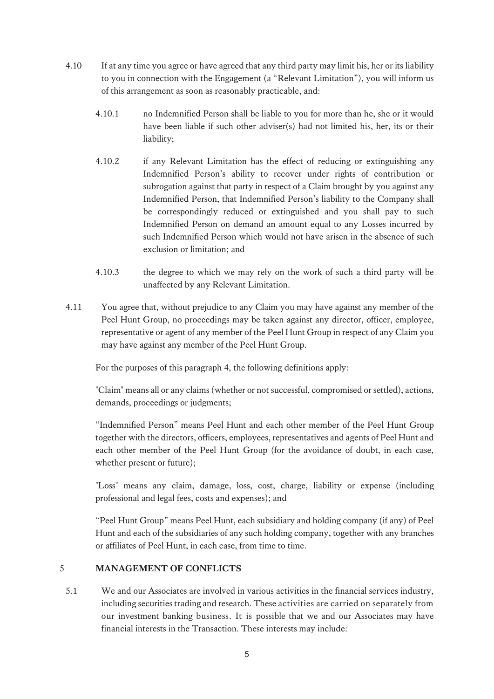- 4.10 If at any time you agree or have agreed that any third party may limit his, her or its liability to you in connection with the Engagement (a "Relevant Limitation"), you will inform us of this arrangement as soon as reasonably practicable, and:
	- 4.10.1 no Indemnified Person shall be liable to you for more than he, she or it would have been liable if such other adviser(s) had not limited his, her, its or their liability;
	- 4.10.2 if any Relevant Limitation has the effect of reducing or extinguishing any Indemnified Person's ability to recover under rights of contribution or subrogation against that party in respect of a Claim brought by you against any Indemnified Person, that Indemnified Person's liability to the Company shall be correspondingly reduced or extinguished and you shall pay to such Indemnified Person on demand an amount equal to any Losses incurred by such Indemnified Person which would not have arisen in the absence of such exclusion or limitation; and
	- 4.10.3 the degree to which we may rely on the work of such a third party will be unaffected by any Relevant Limitation.
- 4.11 You agree that, without prejudice to any Claim you may have against any member of the Peel Hunt Group, no proceedings may be taken against any director, officer, employee, representative or agent of any member of the Peel Hunt Group in respect of any Claim you may have against any member of the Peel Hunt Group.

For the purposes of this paragraph 4, the following definitions apply:

"Claim" means all or any claims (whether or not successful, compromised or settled), actions, demands, proceedings or judgments;

"Indemnified Person" means Peel Hunt and each other member of the Peel Hunt Group together with the directors, officers, employees, representatives and agents of Peel Hunt and each other member of the Peel Hunt Group (for the avoidance of doubt, in each case, whether present or future);

"Loss" means any claim, damage, loss, cost, charge, liability or expense (including professional and legal fees, costs and expenses); and

"Peel Hunt Group" means Peel Hunt, each subsidiary and holding company (if any) of Peel Hunt and each of the subsidiaries of any such holding company, together with any branches or affiliates of Peel Hunt, in each case, from time to time.

# 5 **MANAGEMENT OF CONFLICTS**

5.1 We and our Associates are involved in various activities in the financial services industry, including securities trading and research. These activities are carried on separately from our investment banking business. It is possible that we and our Associates may have financial interests in the Transaction. These interests may include: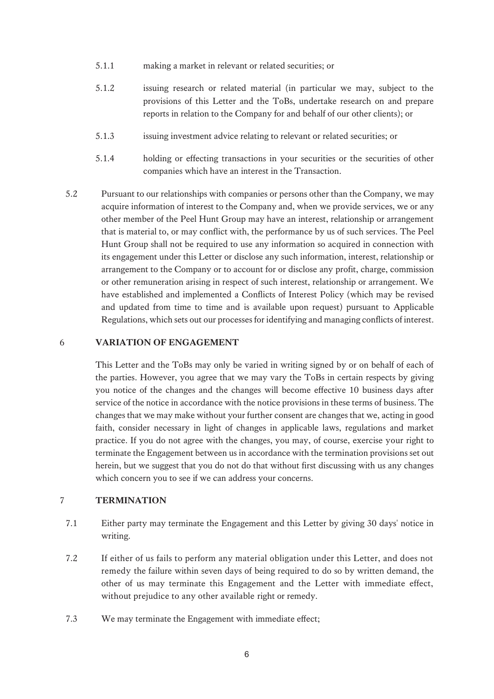- 5.1.1 making a market in relevant or related securities; or
- 5.1.2 issuing research or related material (in particular we may, subject to the provisions of this Letter and the ToBs, undertake research on and prepare reports in relation to the Company for and behalf of our other clients); or
- 5.1.3 issuing investment advice relating to relevant or related securities; or
- 5.1.4 holding or effecting transactions in your securities or the securities of other companies which have an interest in the Transaction.
- 5.2 Pursuant to our relationships with companies or persons other than the Company, we may acquire information of interest to the Company and, when we provide services, we or any other member of the Peel Hunt Group may have an interest, relationship or arrangement that is material to, or may conflict with, the performance by us of such services. The Peel Hunt Group shall not be required to use any information so acquired in connection with its engagement under this Letter or disclose any such information, interest, relationship or arrangement to the Company or to account for or disclose any profit, charge, commission or other remuneration arising in respect of such interest, relationship or arrangement. We have established and implemented a Conflicts of Interest Policy (which may be revised and updated from time to time and is available upon request) pursuant to Applicable Regulations, which sets out our processes for identifying and managing conflicts of interest.

#### 6 **VARIATION OF ENGAGEMENT**

This Letter and the ToBs may only be varied in writing signed by or on behalf of each of the parties. However, you agree that we may vary the ToBs in certain respects by giving you notice of the changes and the changes will become effective 10 business days after service of the notice in accordance with the notice provisions in these terms of business. The changes that we may make without your further consent are changes that we, acting in good faith, consider necessary in light of changes in applicable laws, regulations and market practice. If you do not agree with the changes, you may, of course, exercise your right to terminate the Engagement between us in accordance with the termination provisions set out herein, but we suggest that you do not do that without first discussing with us any changes which concern you to see if we can address your concerns.

## 7 **TERMINATION**

- 7.1 Either party may terminate the Engagement and this Letter by giving 30 days' notice in writing.
- 7.2 If either of us fails to perform any material obligation under this Letter, and does not remedy the failure within seven days of being required to do so by written demand, the other of us may terminate this Engagement and the Letter with immediate effect, without prejudice to any other available right or remedy.
- 7.3 We may terminate the Engagement with immediate effect;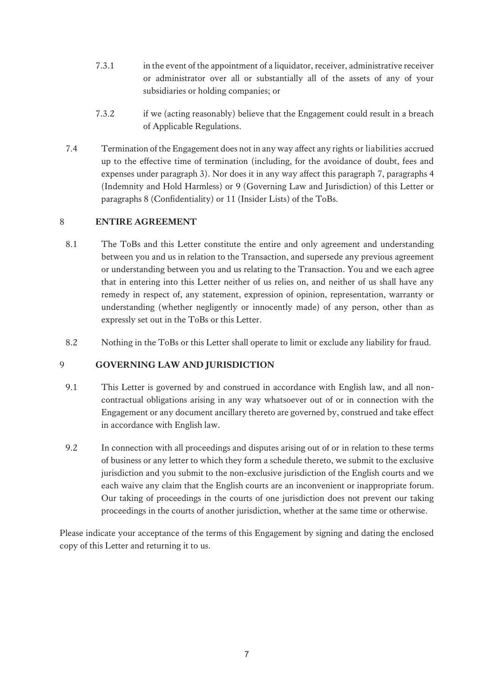- 7.3.1 in the event of the appointment of a liquidator, receiver, administrative receiver or administrator over all or substantially all of the assets of any of your subsidiaries or holding companies; or
- 7.3.2 if we (acting reasonably) believe that the Engagement could result in a breach of Applicable Regulations.
- 7.4 Termination of the Engagement does not in any way affect any rights or liabilities accrued up to the effective time of termination (including, for the avoidance of doubt, fees and expenses under paragraph 3). Nor does it in any way affect this paragraph 7, paragraphs 4 (Indemnity and Hold Harmless) or 9 (Governing Law and Jurisdiction) of this Letter or paragraphs 8 (Confidentiality) or 11 (Insider Lists) of the ToBs.

### 8 **ENTIRE AGREEMENT**

- 8.1 The ToBs and this Letter constitute the entire and only agreement and understanding between you and us in relation to the Transaction, and supersede any previous agreement or understanding between you and us relating to the Transaction. You and we each agree that in entering into this Letter neither of us relies on, and neither of us shall have any remedy in respect of, any statement, expression of opinion, representation, warranty or understanding (whether negligently or innocently made) of any person, other than as expressly set out in the ToBs or this Letter.
- 8.2 Nothing in the ToBs or this Letter shall operate to limit or exclude any liability for fraud.

# 9 **GOVERNING LAW AND JURISDICTION**

- 9.1 This Letter is governed by and construed in accordance with English law, and all noncontractual obligations arising in any way whatsoever out of or in connection with the Engagement or any document ancillary thereto are governed by, construed and take effect in accordance with English law.
- 9.2 In connection with all proceedings and disputes arising out of or in relation to these terms of business or any letter to which they form a schedule thereto, we submit to the exclusive jurisdiction and you submit to the non-exclusive jurisdiction of the English courts and we each waive any claim that the English courts are an inconvenient or inappropriate forum. Our taking of proceedings in the courts of one jurisdiction does not prevent our taking proceedings in the courts of another jurisdiction, whether at the same time or otherwise.

Please indicate your acceptance of the terms of this Engagement by signing and dating the enclosed copy of this Letter and returning it to us.